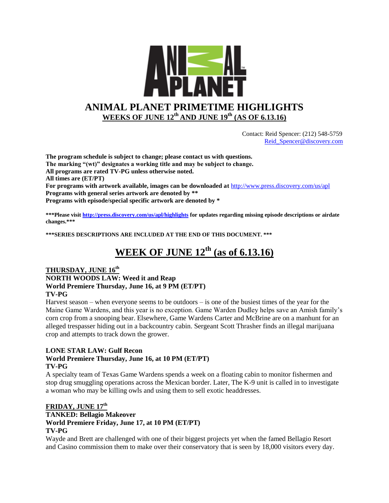

 Contact: Reid Spencer: (212) 548-5759 [Reid\\_Spencer@discovery.com](mailto:Reid_Spencer@discovery.com)

**The program schedule is subject to change; please contact us with questions. The marking "(wt)" designates a working title and may be subject to change. All programs are rated TV-PG unless otherwise noted. All times are (ET/PT) For programs with artwork available, images can be downloaded at** <http://www.press.discovery.com/us/apl> **Programs with general series artwork are denoted by \*\* Programs with episode/special specific artwork are denoted by \***

**\*\*\*Please visit<http://press.discovery.com/us/apl/highlights> for updates regarding missing episode descriptions or airdate changes.\*\*\***

**\*\*\*SERIES DESCRIPTIONS ARE INCLUDED AT THE END OF THIS DOCUMENT. \*\*\***

# **WEEK OF JUNE 12th (as of 6.13.16)**

#### **THURSDAY, JUNE 16th NORTH WOODS LAW: Weed it and Reap World Premiere Thursday, June 16, at 9 PM (ET/PT) TV-PG**

Harvest season – when everyone seems to be outdoors – is one of the busiest times of the year for the Maine Game Wardens, and this year is no exception. Game Warden Dudley helps save an Amish family's corn crop from a snooping bear. Elsewhere, Game Wardens Carter and McBrine are on a manhunt for an alleged trespasser hiding out in a backcountry cabin. Sergeant Scott Thrasher finds an illegal marijuana crop and attempts to track down the grower.

#### **LONE STAR LAW: Gulf Recon**

#### **World Premiere Thursday, June 16, at 10 PM (ET/PT) TV-PG**

A specialty team of Texas Game Wardens spends a week on a floating cabin to monitor fishermen and stop drug smuggling operations across the Mexican border. Later, The K-9 unit is called in to investigate a woman who may be killing owls and using them to sell exotic headdresses.

#### **FRIDAY, JUNE 17th**

#### **TANKED: Bellagio Makeover World Premiere Friday, June 17, at 10 PM (ET/PT) TV-PG**

Wayde and Brett are challenged with one of their biggest projects yet when the famed Bellagio Resort and Casino commission them to make over their conservatory that is seen by 18,000 visitors every day.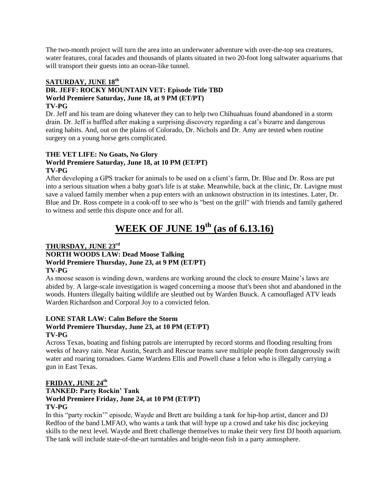The two-month project will turn the area into an underwater adventure with over-the-top sea creatures, water features, coral facades and thousands of plants situated in two 20-foot long saltwater aquariums that will transport their guests into an ocean-like tunnel.

#### **SATURDAY, JUNE 18th**

#### **DR. JEFF: ROCKY MOUNTAIN VET: Episode Title TBD World Premiere Saturday, June 18, at 9 PM (ET/PT) TV-PG**

Dr. Jeff and his team are doing whatever they can to help two Chihuahuas found abandoned in a storm drain. Dr. Jeff is baffled after making a surprising discovery regarding a cat's bizarre and dangerous eating habits. And, out on the plains of Colorado, Dr. Nichols and Dr. Amy are tested when routine surgery on a young horse gets complicated.

#### **THE VET LIFE: No Goats, No Glory**

#### **World Premiere Saturday, June 18, at 10 PM (ET/PT) TV-PG**

After developing a GPS tracker for animals to be used on a client's farm, Dr. Blue and Dr. Ross are put into a serious situation when a baby goat's life is at stake. Meanwhile, back at the clinic, Dr. Lavigne must save a valued family member when a pup enters with an unknown obstruction in its intestines. Later, Dr. Blue and Dr. Ross compete in a cook-off to see who is "best on the grill" with friends and family gathered to witness and settle this dispute once and for all.

# **WEEK OF JUNE 19th (as of 6.13.16)**

#### **THURSDAY, JUNE 23rd**

#### **NORTH WOODS LAW: Dead Moose Talking World Premiere Thursday, June 23, at 9 PM (ET/PT) TV-PG**

As moose season is winding down, wardens are working around the clock to ensure Maine's laws are abided by. A large-scale investigation is waged concerning a moose that's been shot and abandoned in the woods. Hunters illegally baiting wildlife are sleuthed out by Warden Buuck. A camouflaged ATV leads Warden Richardson and Corporal Joy to a convicted felon.

### **LONE STAR LAW: Calm Before the Storm**

#### **World Premiere Thursday, June 23, at 10 PM (ET/PT) TV-PG**

Across Texas, boating and fishing patrols are interrupted by record storms and flooding resulting from weeks of heavy rain. Near Austin, Search and Rescue teams save multiple people from dangerously swift water and roaring tornadoes. Game Wardens Ellis and Powell chase a felon who is illegally carrying a gun in East Texas.

#### **FRIDAY, JUNE 24th**

#### **TANKED: Party Rockin' Tank World Premiere Friday, June 24, at 10 PM (ET/PT) TV-PG**

In this "party rockin'" episode, Wayde and Brett are building a tank for hip-hop artist, dancer and DJ Redfoo of the band LMFAO, who wants a tank that will hype up a crowd and take his disc jockeying skills to the next level. Wayde and Brett challenge themselves to make their very first DJ booth aquarium. The tank will include state-of-the-art turntables and bright-neon fish in a party atmosphere.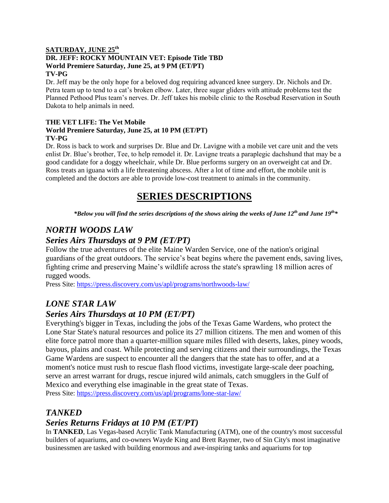#### **SATURDAY, JUNE 25th DR. JEFF: ROCKY MOUNTAIN VET: Episode Title TBD World Premiere Saturday, June 25, at 9 PM (ET/PT) TV-PG**

Dr. Jeff may be the only hope for a beloved dog requiring advanced knee surgery. Dr. Nichols and Dr. Petra team up to tend to a cat's broken elbow. Later, three sugar gliders with attitude problems test the Planned Pethood Plus team's nerves. Dr. Jeff takes his mobile clinic to the Rosebud Reservation in South Dakota to help animals in need.

#### **THE VET LIFE: The Vet Mobile World Premiere Saturday, June 25, at 10 PM (ET/PT) TV-PG**

Dr. Ross is back to work and surprises Dr. Blue and Dr. Lavigne with a mobile vet care unit and the vets enlist Dr. Blue's brother, Tee, to help remodel it. Dr. Lavigne treats a paraplegic dachshund that may be a good candidate for a doggy wheelchair, while Dr. Blue performs surgery on an overweight cat and Dr. Ross treats an iguana with a life threatening abscess. After a lot of time and effort, the mobile unit is completed and the doctors are able to provide low-cost treatment to animals in the community.

# **SERIES DESCRIPTIONS**

*\*Below you will find the series descriptions of the shows airing the weeks of June 12th and June 19th\**

### *NORTH WOODS LAW*

### *Series Airs Thursdays at 9 PM (ET/PT)*

Follow the true adventures of the elite Maine Warden Service, one of the nation's original guardians of the great outdoors. The service's beat begins where the pavement ends, saving lives, fighting crime and preserving Maine's wildlife across the state's sprawling 18 million acres of rugged woods.

Press Site: <https://press.discovery.com/us/apl/programs/northwoods-law/>

### *LONE STAR LAW*

### *Series Airs Thursdays at 10 PM (ET/PT)*

Everything's bigger in Texas, including the jobs of the Texas Game Wardens, who protect the Lone Star State's natural resources and police its 27 million citizens. The men and women of this elite force patrol more than a quarter-million square miles filled with deserts, lakes, piney woods, bayous, plains and coast. While protecting and serving citizens and their surroundings, the Texas Game Wardens are suspect to encounter all the dangers that the state has to offer, and at a moment's notice must rush to rescue flash flood victims, investigate large-scale deer poaching, serve an arrest warrant for drugs, rescue injured wild animals, catch smugglers in the Gulf of Mexico and everything else imaginable in the great state of Texas.

Press Site: <https://press.discovery.com/us/apl/programs/lone-star-law/>

### *TANKED*

### *Series Returns Fridays at 10 PM (ET/PT)*

In **TANKED**, Las Vegas-based Acrylic Tank Manufacturing (ATM), one of the country's most successful builders of aquariums, and co-owners Wayde King and Brett Raymer, two of Sin City's most imaginative businessmen are tasked with building enormous and awe-inspiring tanks and aquariums for top